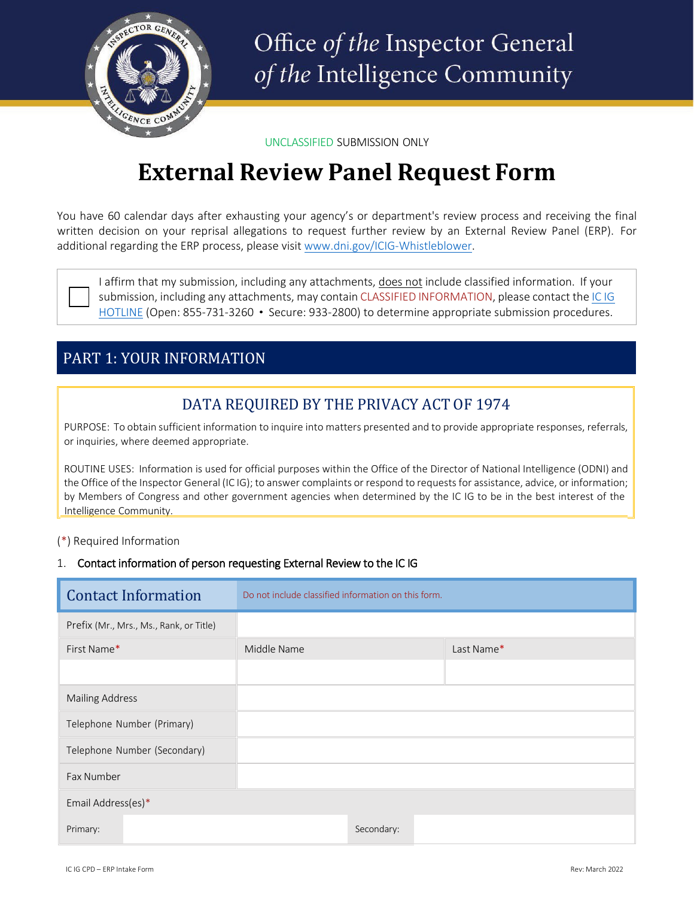

# Office of the Inspector General of the Intelligence Community

UNCLASSIFIED SUBMISSION ONLY

## **External Review Panel Request Form**

You have 60 calendar days after exhausting your agency's or department's review process and receiving the final written decision on your reprisal allegations to request further review by an External Review Panel (ERP). For additional regarding the ERP process, please visi[t www.dni.gov/ICIG-Whistleblower.](http://www.dni.gov/ICIG-Whistleblower)

I affirm that my submission, including any attachments, does not include classified information. If your submission, including any attachments, may contain CLASSIFIED INFORMATION, please contact the IC [IG](https://www.dni.gov/index.php/who-we-are/organizations/icig/icig-who-we-are) [HOTLINE](https://www.dni.gov/index.php/who-we-are/organizations/icig/icig-who-we-are) (Open: 855-731-3260 • Secure: 933-2800) to determine appropriate submission procedures.

## PART 1: YOUR INFORMATION

## DATA REQUIRED BY THE PRIVACY ACT OF 1974

PURPOSE: To obtain sufficient information to inquire into matters presented and to provide appropriate responses, referrals, or inquiries, where deemed appropriate.

ROUTINE USES: Information is used for official purposes within the Office of the Director of National Intelligence (ODNI) and the Office of the Inspector General (IC IG); to answer complaints or respond to requestsfor assistance, advice, or information; by Members of Congress and other government agencies when determined by the IC IG to be in the best interest of the Intelligence Community.

#### (\*) Required Information

#### 1. Contact information of person requesting External Review to the IC IG

| <b>Contact Information</b>              | Do not include classified information on this form. |            |            |
|-----------------------------------------|-----------------------------------------------------|------------|------------|
| Prefix (Mr., Mrs., Ms., Rank, or Title) |                                                     |            |            |
| First Name*                             | Middle Name                                         |            | Last Name* |
|                                         |                                                     |            |            |
| <b>Mailing Address</b>                  |                                                     |            |            |
| Telephone Number (Primary)              |                                                     |            |            |
| Telephone Number (Secondary)            |                                                     |            |            |
| Fax Number                              |                                                     |            |            |
| Email Address(es)*                      |                                                     |            |            |
| Primary:                                |                                                     | Secondary: |            |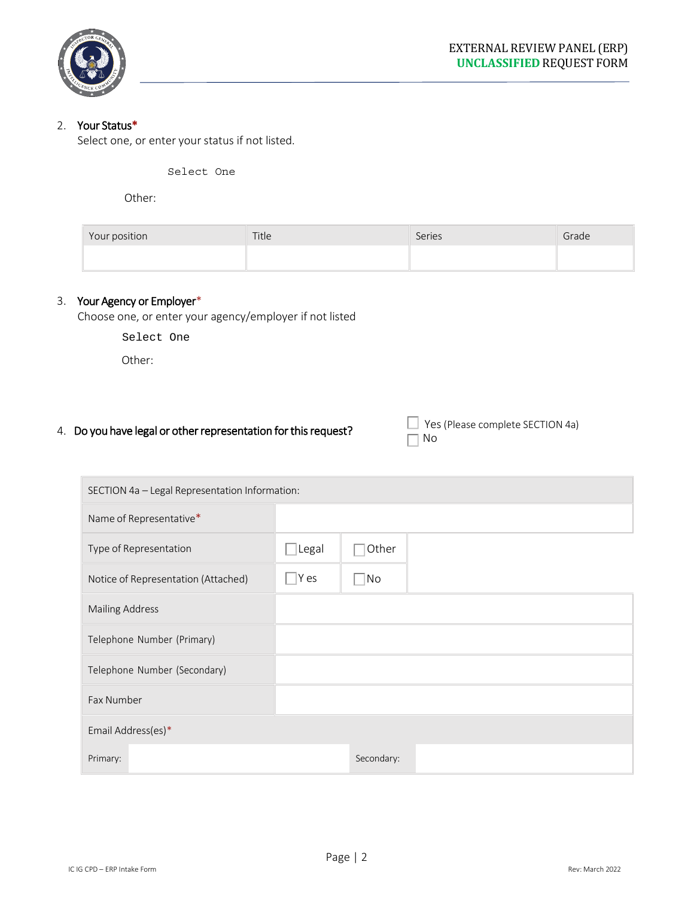

#### 2. Your Status\*

Select one, or enter your status if not listed.

Select One

Other:

| Your position | Title | Series | Grade |
|---------------|-------|--------|-------|
|               |       |        |       |

#### 3. Your Agency or Employer\*

Choose one, or enter your agency/employer if not listed

Select One

Other:

## 4. Do you have legal or other representation for this request?

|  | Yes (Please complete SECTION 4a |  |
|--|---------------------------------|--|
|  | $\Box$ No                       |  |

| SECTION 4a - Legal Representation Information: |             |            |
|------------------------------------------------|-------------|------------|
| Name of Representative*                        |             |            |
| Type of Representation                         | Legal       | Other      |
| Notice of Representation (Attached)            | $\Box$ Y es | No         |
| <b>Mailing Address</b>                         |             |            |
| Telephone Number (Primary)                     |             |            |
| Telephone Number (Secondary)                   |             |            |
| Fax Number                                     |             |            |
| Email Address(es)*                             |             |            |
| Primary:                                       |             | Secondary: |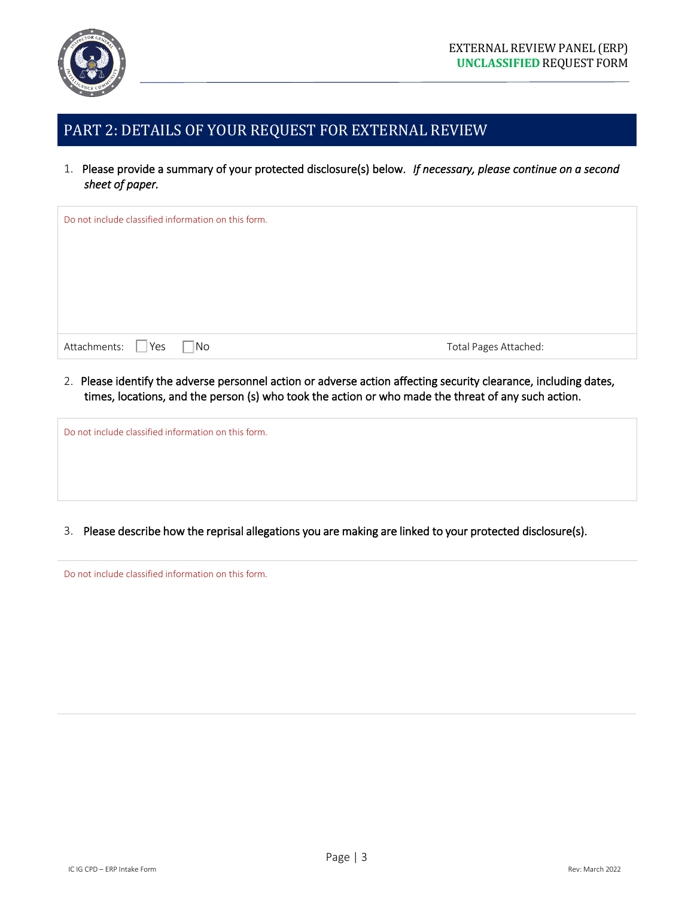

## PART 2: DETAILS OF YOUR REQUEST FOR EXTERNAL REVIEW

1. Please provide a summary of your protected disclosure(s) below. *If necessary, please continue on a second sheet of paper.*

| Attachments: □ Yes | $\Box$ No |  |  | Total Pages Attached: |  |
|--------------------|-----------|--|--|-----------------------|--|

2. Please identify the adverse personnel action or adverse action affecting security clearance, including dates, times, locations, and the person (s) who took the action or who made the threat of any such action.

| Do not include classified information on this form. |  |
|-----------------------------------------------------|--|
|                                                     |  |
|                                                     |  |
|                                                     |  |

3. Please describe how the reprisal allegations you are making are linked to your protected disclosure(s).

Do not include classified information on this form.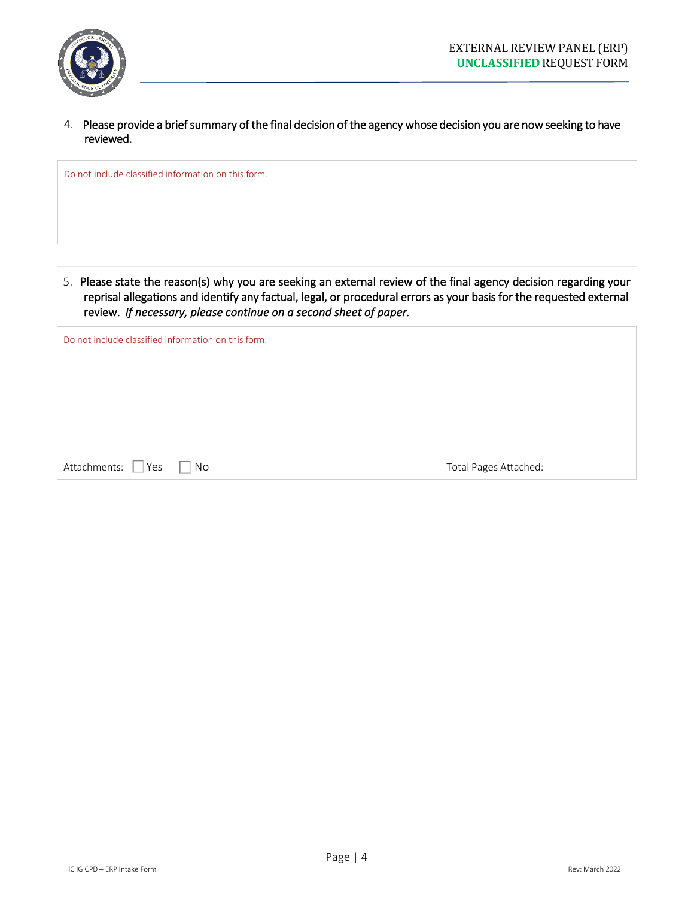

4. Please provide a brief summary of the final decision of the agency whose decision you are now seeking to have reviewed.

Do not include classified information on this form.

5. Please state the reason(s) why you are seeking an external review of the final agency decision regarding your reprisal allegations and identify any factual, legal, or procedural errors as your basis for the requested external review. *If necessary, please continue on a second sheet of paper.*

| Do not include classified information on this form. |  |
|-----------------------------------------------------|--|
|                                                     |  |
|                                                     |  |
|                                                     |  |
|                                                     |  |
| Attachments: Yes No<br>Total Pages Attached:        |  |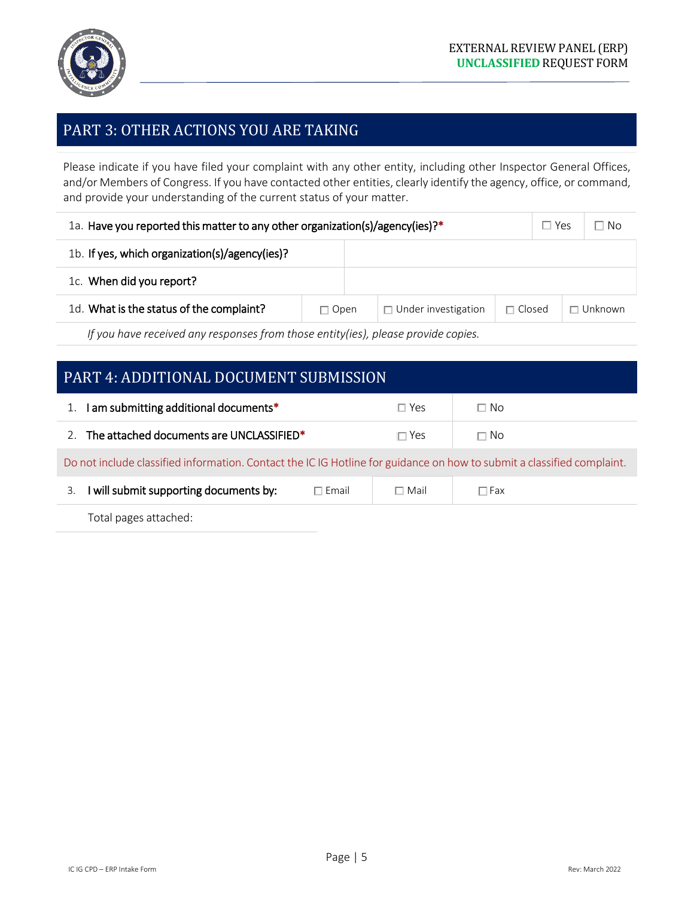

## PART 3: OTHER ACTIONS YOU ARE TAKING

Please indicate if you have filed your complaint with any other entity, including other Inspector General Offices, and/or Members of Congress. If you have contacted other entities, clearly identify the agency, office, or command, and provide your understanding of the current status of your matter.

| 1a. Have you reported this matter to any other organization(s)/agency(ies)?* |             |  | $\Box$ Yes                 | No            |  |                |
|------------------------------------------------------------------------------|-------------|--|----------------------------|---------------|--|----------------|
| 1b. If yes, which organization(s)/agency(ies)?                               |             |  |                            |               |  |                |
| 1c. When did you report?                                                     |             |  |                            |               |  |                |
| 1d. What is the status of the complaint?                                     | $\Box$ Open |  | $\Box$ Under investigation | $\Box$ Closed |  | $\Box$ Unknown |
|                                                                              |             |  |                            |               |  |                |

*If you have received any responses from those entity(ies), please provide copies.*

| PART 4: ADDITIONAL DOCUMENT SUBMISSION                                                                                 |              |             |            |  |  |
|------------------------------------------------------------------------------------------------------------------------|--------------|-------------|------------|--|--|
| I am submitting additional documents*                                                                                  |              | $\Box$ Yes  | $\Box$ No  |  |  |
| The attached documents are UNCLASSIFIED*                                                                               |              | $\Box$ Yes  | $\Box$ No  |  |  |
| Do not include classified information. Contact the IC IG Hotline for guidance on how to submit a classified complaint. |              |             |            |  |  |
| I will submit supporting documents by:<br>3.                                                                           | $\Box$ Email | $\Box$ Mail | $\Box$ Fax |  |  |
| Total pages attached:                                                                                                  |              |             |            |  |  |